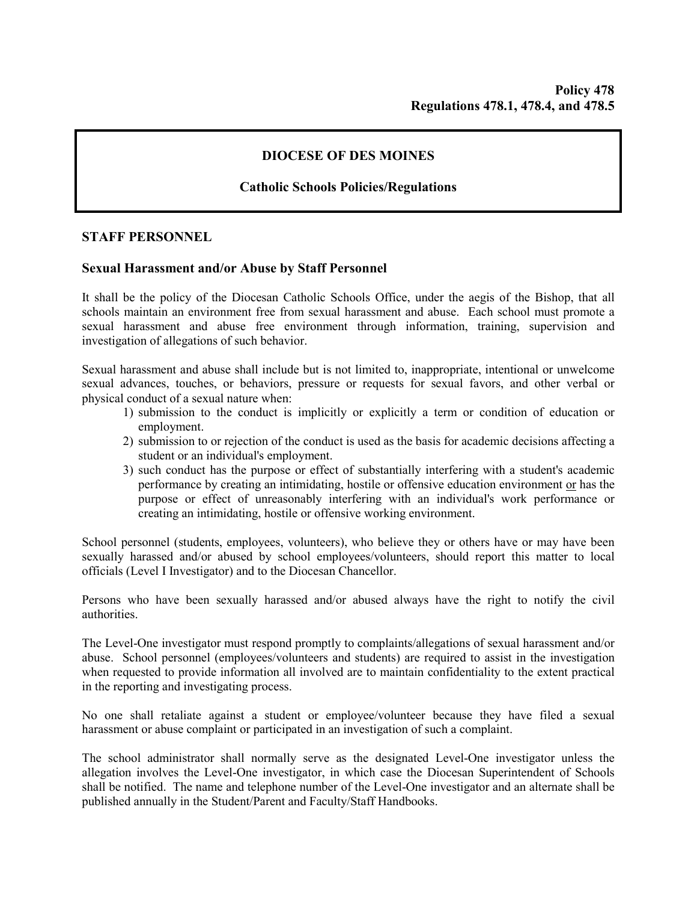# **DIOCESE OF DES MOINES**

## **Catholic Schools Policies/Regulations**

## **STAFF PERSONNEL**

#### **Sexual Harassment and/or Abuse by Staff Personnel**

It shall be the policy of the Diocesan Catholic Schools Office, under the aegis of the Bishop, that all schools maintain an environment free from sexual harassment and abuse. Each school must promote a sexual harassment and abuse free environment through information, training, supervision and investigation of allegations of such behavior.

Sexual harassment and abuse shall include but is not limited to, inappropriate, intentional or unwelcome sexual advances, touches, or behaviors, pressure or requests for sexual favors, and other verbal or physical conduct of a sexual nature when:

- 1) submission to the conduct is implicitly or explicitly a term or condition of education or employment.
- 2) submission to or rejection of the conduct is used as the basis for academic decisions affecting a student or an individual's employment.
- 3) such conduct has the purpose or effect of substantially interfering with a student's academic performance by creating an intimidating, hostile or offensive education environment or has the purpose or effect of unreasonably interfering with an individual's work performance or creating an intimidating, hostile or offensive working environment.

School personnel (students, employees, volunteers), who believe they or others have or may have been sexually harassed and/or abused by school employees/volunteers, should report this matter to local officials (Level I Investigator) and to the Diocesan Chancellor.

Persons who have been sexually harassed and/or abused always have the right to notify the civil authorities.

The Level-One investigator must respond promptly to complaints/allegations of sexual harassment and/or abuse. School personnel (employees/volunteers and students) are required to assist in the investigation when requested to provide information all involved are to maintain confidentiality to the extent practical in the reporting and investigating process.

No one shall retaliate against a student or employee/volunteer because they have filed a sexual harassment or abuse complaint or participated in an investigation of such a complaint.

The school administrator shall normally serve as the designated Level-One investigator unless the allegation involves the Level-One investigator, in which case the Diocesan Superintendent of Schools shall be notified. The name and telephone number of the Level-One investigator and an alternate shall be published annually in the Student/Parent and Faculty/Staff Handbooks.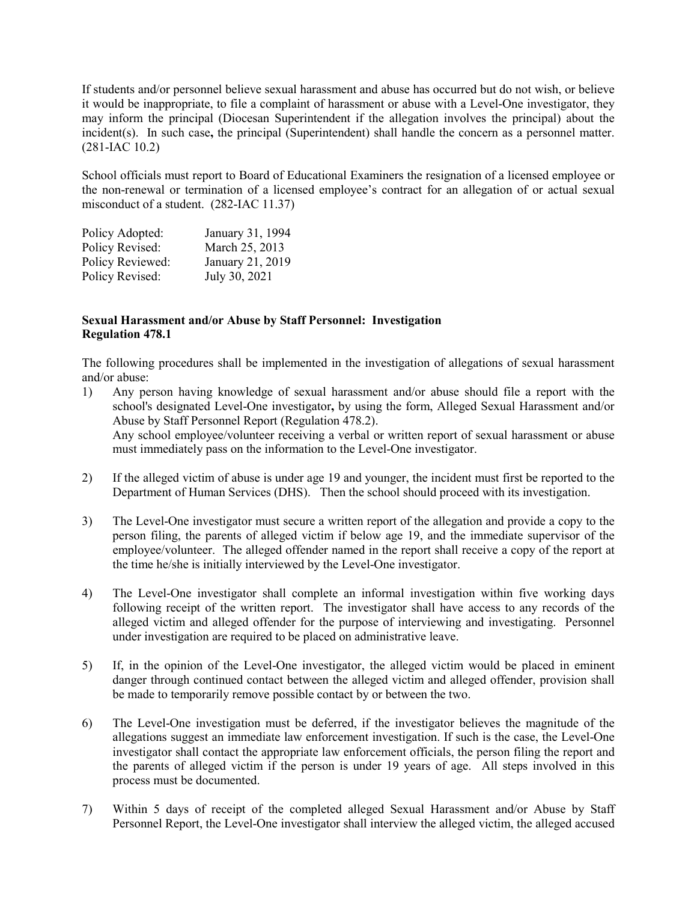If students and/or personnel believe sexual harassment and abuse has occurred but do not wish, or believe it would be inappropriate, to file a complaint of harassment or abuse with a Level-One investigator, they may inform the principal (Diocesan Superintendent if the allegation involves the principal) about the incident(s). In such case**,** the principal (Superintendent) shall handle the concern as a personnel matter. (281-IAC 10.2)

School officials must report to Board of Educational Examiners the resignation of a licensed employee or the non-renewal or termination of a licensed employee's contract for an allegation of or actual sexual misconduct of a student. (282-IAC 11.37)

| Policy Adopted:  | January 31, 1994 |
|------------------|------------------|
| Policy Revised:  | March 25, 2013   |
| Policy Reviewed: | January 21, 2019 |
| Policy Revised:  | July 30, 2021    |

## **Sexual Harassment and/or Abuse by Staff Personnel: Investigation Regulation 478.1**

The following procedures shall be implemented in the investigation of allegations of sexual harassment and/or abuse:

1) Any person having knowledge of sexual harassment and/or abuse should file a report with the school's designated Level-One investigator**,** by using the form, Alleged Sexual Harassment and/or Abuse by Staff Personnel Report (Regulation 478.2). Any school employee/volunteer receiving a verbal or written report of sexual harassment or abuse

must immediately pass on the information to the Level-One investigator.

- 2) If the alleged victim of abuse is under age 19 and younger, the incident must first be reported to the Department of Human Services (DHS). Then the school should proceed with its investigation.
- 3) The Level-One investigator must secure a written report of the allegation and provide a copy to the person filing, the parents of alleged victim if below age 19, and the immediate supervisor of the employee/volunteer. The alleged offender named in the report shall receive a copy of the report at the time he/she is initially interviewed by the Level-One investigator.
- 4) The Level-One investigator shall complete an informal investigation within five working days following receipt of the written report. The investigator shall have access to any records of the alleged victim and alleged offender for the purpose of interviewing and investigating. Personnel under investigation are required to be placed on administrative leave.
- 5) If, in the opinion of the Level-One investigator, the alleged victim would be placed in eminent danger through continued contact between the alleged victim and alleged offender, provision shall be made to temporarily remove possible contact by or between the two.
- 6) The Level-One investigation must be deferred, if the investigator believes the magnitude of the allegations suggest an immediate law enforcement investigation. If such is the case, the Level-One investigator shall contact the appropriate law enforcement officials, the person filing the report and the parents of alleged victim if the person is under 19 years of age. All steps involved in this process must be documented.
- 7) Within 5 days of receipt of the completed alleged Sexual Harassment and/or Abuse by Staff Personnel Report, the Level-One investigator shall interview the alleged victim, the alleged accused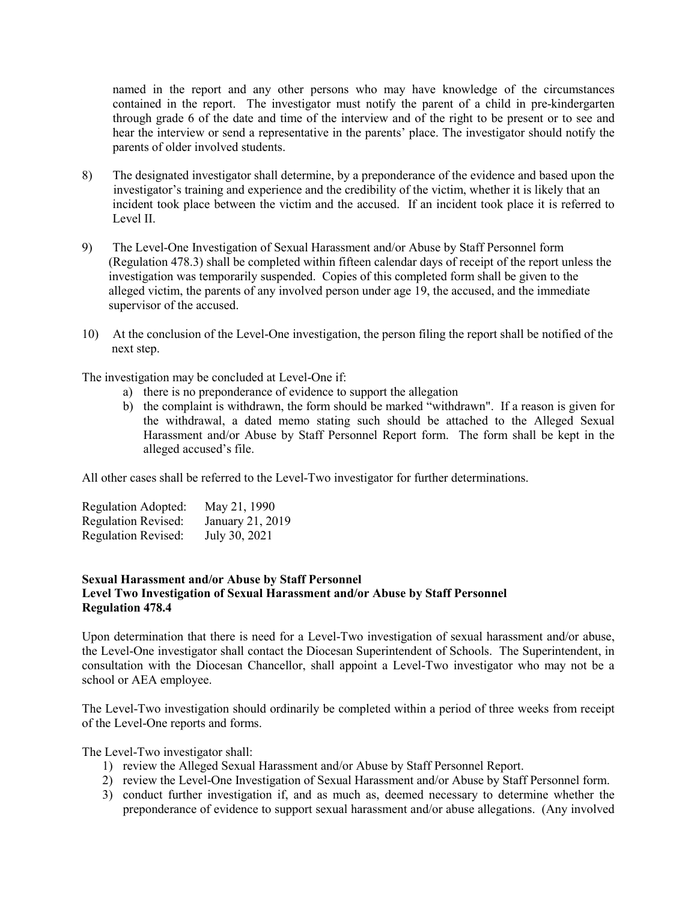named in the report and any other persons who may have knowledge of the circumstances contained in the report. The investigator must notify the parent of a child in pre-kindergarten through grade 6 of the date and time of the interview and of the right to be present or to see and hear the interview or send a representative in the parents' place. The investigator should notify the parents of older involved students.

- 8) The designated investigator shall determine, by a preponderance of the evidence and based upon the investigator's training and experience and the credibility of the victim, whether it is likely that an incident took place between the victim and the accused. If an incident took place it is referred to Level II.
- 9) The Level-One Investigation of Sexual Harassment and/or Abuse by Staff Personnel form (Regulation 478.3) shall be completed within fifteen calendar days of receipt of the report unless the investigation was temporarily suspended. Copies of this completed form shall be given to the alleged victim, the parents of any involved person under age 19, the accused, and the immediate supervisor of the accused.
- 10) At the conclusion of the Level-One investigation, the person filing the report shall be notified of the next step.

The investigation may be concluded at Level-One if:

- a) there is no preponderance of evidence to support the allegation
- b) the complaint is withdrawn, the form should be marked "withdrawn". If a reason is given for the withdrawal, a dated memo stating such should be attached to the Alleged Sexual Harassment and/or Abuse by Staff Personnel Report form. The form shall be kept in the alleged accused's file.

All other cases shall be referred to the Level-Two investigator for further determinations.

| Regulation Adopted:        | May 21, 1990     |
|----------------------------|------------------|
| <b>Regulation Revised:</b> | January 21, 2019 |
| <b>Regulation Revised:</b> | July 30, 2021    |

## **Sexual Harassment and/or Abuse by Staff Personnel Level Two Investigation of Sexual Harassment and/or Abuse by Staff Personnel Regulation 478.4**

Upon determination that there is need for a Level-Two investigation of sexual harassment and/or abuse, the Level-One investigator shall contact the Diocesan Superintendent of Schools. The Superintendent, in consultation with the Diocesan Chancellor, shall appoint a Level-Two investigator who may not be a school or AEA employee.

The Level-Two investigation should ordinarily be completed within a period of three weeks from receipt of the Level-One reports and forms.

The Level-Two investigator shall:

- 1) review the Alleged Sexual Harassment and/or Abuse by Staff Personnel Report.
- 2) review the Level-One Investigation of Sexual Harassment and/or Abuse by Staff Personnel form.
- 3) conduct further investigation if, and as much as, deemed necessary to determine whether the preponderance of evidence to support sexual harassment and/or abuse allegations. (Any involved